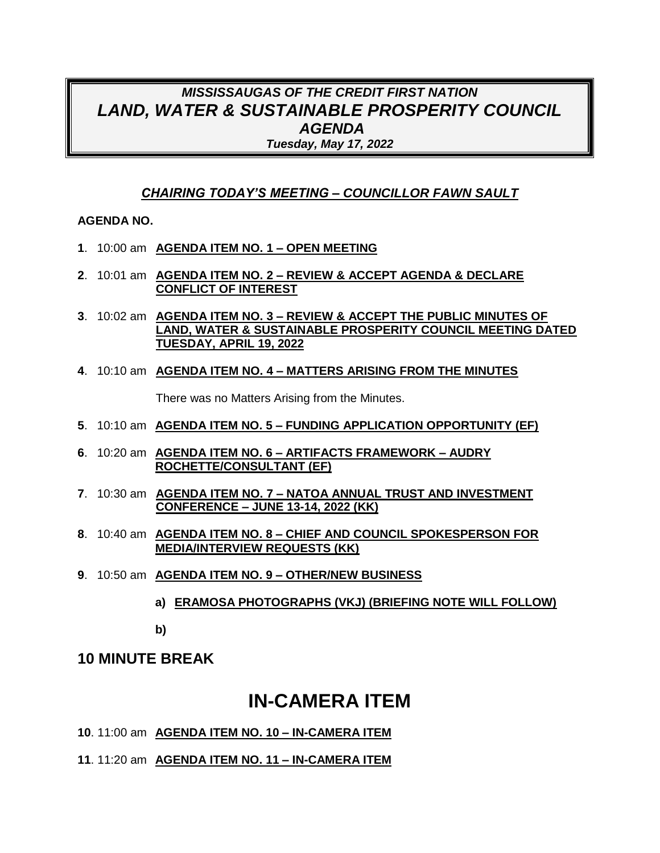## *MISSISSAUGAS OF THE CREDIT FIRST NATION LAND, WATER & SUSTAINABLE PROSPERITY COUNCIL AGENDA Tuesday, May 17, 2022*

### *CHAIRING TODAY'S MEETING – COUNCILLOR FAWN SAULT*

#### **AGENDA NO.**

- **1**. 10:00 am **AGENDA ITEM NO. 1 – OPEN MEETING**
- **2**. 10:01 am **AGENDA ITEM NO. 2 – REVIEW & ACCEPT AGENDA & DECLARE CONFLICT OF INTEREST**
- **3**. 10:02 am **AGENDA ITEM NO. 3 – REVIEW & ACCEPT THE PUBLIC MINUTES OF LAND, WATER & SUSTAINABLE PROSPERITY COUNCIL MEETING DATED TUESDAY, APRIL 19, 2022**
- **4**. 10:10 am **AGENDA ITEM NO. 4 – MATTERS ARISING FROM THE MINUTES**

There was no Matters Arising from the Minutes.

- **5**. 10:10 am **AGENDA ITEM NO. 5 – FUNDING APPLICATION OPPORTUNITY (EF)**
- **6**. 10:20 am **AGENDA ITEM NO. 6 – ARTIFACTS FRAMEWORK – AUDRY ROCHETTE/CONSULTANT (EF)**
- **7**. 10:30 am **AGENDA ITEM NO. 7 – NATOA ANNUAL TRUST AND INVESTMENT CONFERENCE – JUNE 13-14, 2022 (KK)**
- **8**. 10:40 am **AGENDA ITEM NO. 8 – CHIEF AND COUNCIL SPOKESPERSON FOR MEDIA/INTERVIEW REQUESTS (KK)**
- **9**. 10:50 am **AGENDA ITEM NO. 9 – OTHER/NEW BUSINESS**
	- **a) ERAMOSA PHOTOGRAPHS (VKJ) (BRIEFING NOTE WILL FOLLOW)**

**b)**

## **10 MINUTE BREAK**

# **IN-CAMERA ITEM**

**10**. 11:00 am **AGENDA ITEM NO. 10 – IN-CAMERA ITEM** 

**11**. 11:20 am **AGENDA ITEM NO. 11 – IN-CAMERA ITEM**